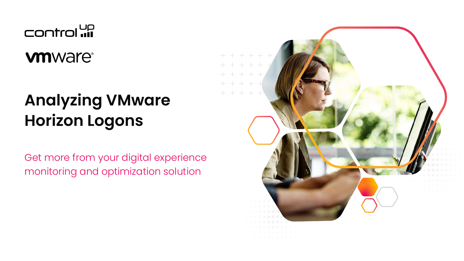Control **up** 

**vm**ware<sup>®</sup>

## **Analyzing VMware Horizon Logons**

Get more from your digital experience monitoring and optimization solution

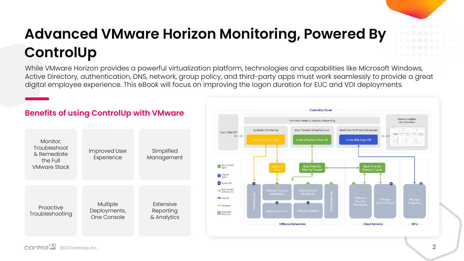## **Advanced VMware Horizon Monitoring, Powered By ControlUp**

While VMware Horizon provides a powerful virtualization platform, technologies and capabilities like Microsoft Windows, Active Directory, authentication, DNS, network, group policy, and third-party apps must work seamlessly to provide a great digital employee experience. This eBook will focus on improving the logon duration for EUC and VDI deployments.

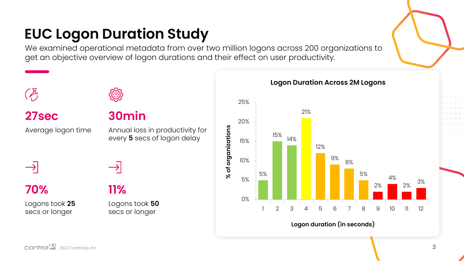### **EUC Logon Duration Study**

We examined operational metadata from over two million logons across 200 organizations to get an objective overview of logon durations and their effect on user productivity.

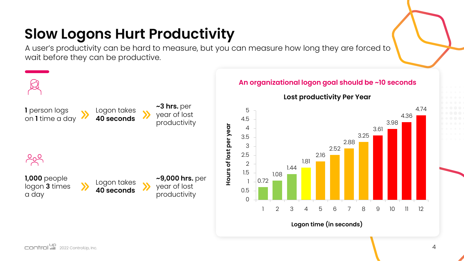### **Slow Logons Hurt Productivity**

A user's productivity can be hard to measure, but you can measure how long they are forced to wait before they can be productive.

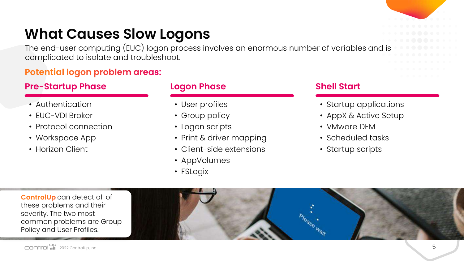### **What Causes Slow Logons**

The end-user computing (EUC) logon process involves an enormous number of variables and is complicated to isolate and troubleshoot.

### **Potential logon problem areas:**

### **Pre-Startup Phase Logon Phase Shell Start**

- Authentication
- EUC-VDI Broker
- Protocol connection
- Workspace App
- Horizon Client

- User profiles
- Group policy
- Logon scripts
- Print & driver mapping
- Client-side extensions
- AppVolumes
- FSLogix

- Startup applications
- AppX & Active Setup
- VMware DEM
- Scheduled tasks
- Startup scripts

**ControlUp** can detect all of these problems and their severity. The two most common problems are Group Policy and User Profiles.

5



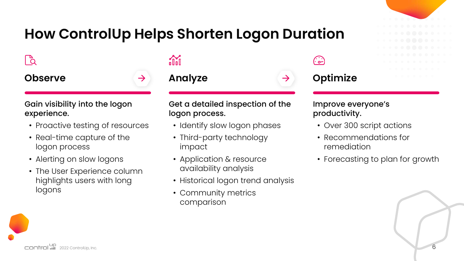### **How ControlUp Helps Shorten Logon Duration**

 $\mathbb{P}^{\!2}$ 



#### Gain visibility into the logon experience.

- Proactive testing of resources
- Real-time capture of the logon process
- Alerting on slow logons
- The User Experience column highlights users with long logons

## **olid**

#### **Observe Analyze Optimize Analyze**

#### Get a detailed inspection of the logon process.

- Identify slow logon phases
- Third-party technology impact
- Application & resource availability analysis
- Historical logon trend analysis
- Community metrics comparison

ه .<br>شم

#### Improve everyone's productivity.

- Over 300 script actions
- Recommendations for remediation
- Forecasting to plan for growth

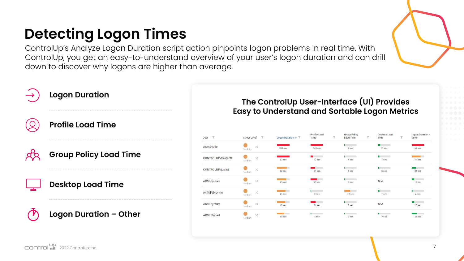## **Detecting Logon Times**

ControlUp's Analyze Logon Duration script action pinpoints logon problems in real time. With ControlUp, you get an easy-to-understand overview of your user's logon duration and can drill down to discover why logons are higher than average.

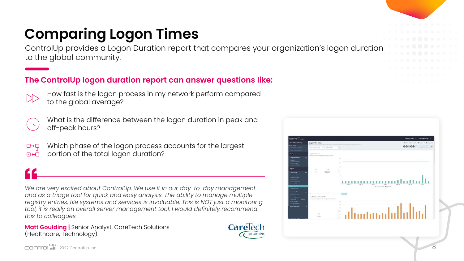## **Comparing Logon Times**

ControlUp provides a Logon Duration report that compares your organization's logon duration to the global community.

#### **The ControlUp logon duration report can answer questions like:**

- How fast is the logon process in my network perform compared to the global average?
- 

What is the difference between the logon duration in peak and off-peak hours?

Which phase of the logon process accounts for the largest  $\square \rightarrow \square$ portion of the total logon duration? 同田

*We are very excited about ControlUp. We use it in our day-to-day management and as a triage tool for quick and easy analysis. The ability to manage multiple registry entries, file systems and services is invaluable. This is NOT just a monitoring tool, it is really an overall server management tool. I would definitely recommend this to colleagues.*

**Matt Goulding | Senior Analyst, CareTech Solutions** (Healthcare, Technology)



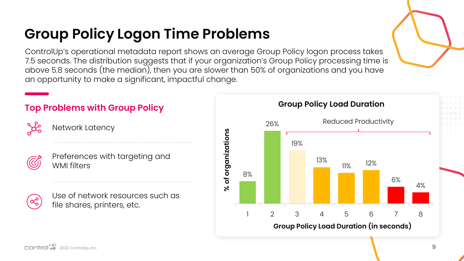## **Group Policy Logon Time Problems**

ControlUp's operational metadata report shows an average Group Policy logon process takes 7.5 seconds. The distribution suggests that if your organization's Group Policy processing time is above 5.8 seconds (the median), then you are slower than 50% of organizations and you have an opportunity to make a significant, impactful change.

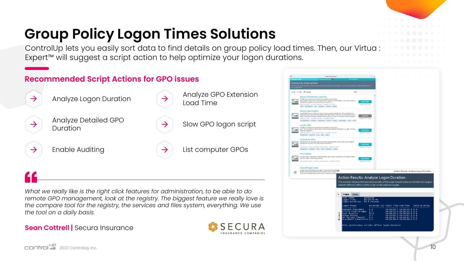## **Group Policy Logon Times Solutions**

ControlUp lets you easily sort data to find details on group policy load times. Then, our Virtua : Expert™ will suggest a script action to help optimize your logon durations.

#### **Recommended Script Actions for GPO issues**



*What we really like is the right click features for administration, to be able to do remote GPO management, look at the registry. The biggest feature we really love is the compare tool for the registry, the services and files system, everything. We use the tool on a daily basis.*

#### **Sean Cottrell | Secura Insurance**



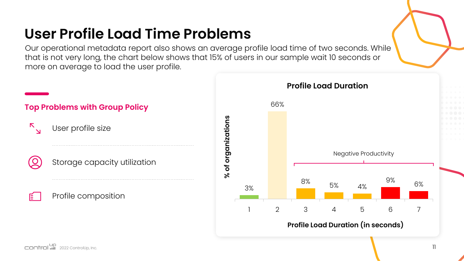### **User Profile Load Time Problems**

Our operational metadata report also shows an average profile load time of two seconds. While that is not very long, the chart below shows that 15% of users in our sample wait 10 seconds or more on average to load the user profile.

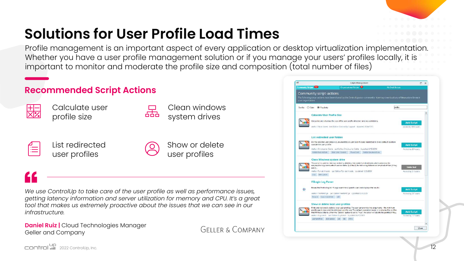## **Solutions for User Profile Load Times**

668

Profile management is an important aspect of every application or desktop virtualization implementation. Whether you have a user profile management solution or if you manage your users' profiles locally, it is important to monitor and moderate the profile size and composition (total number of files)

#### **Recommended Script Actions**



Calculate user profile size

Clean windows system drives



List redirected user profiles



Show or delete user profiles

*We use ControlUp to take care of the user profile as well as performance issues, getting latency information and server utilization for memory and CPU. It's a great tool that makes us extremely proactive about the issues that we can see in our infrastructure.*

**Daniel Ruiz | Cloud Technologies Manager** Geller and Company

GELLER & COMPANY

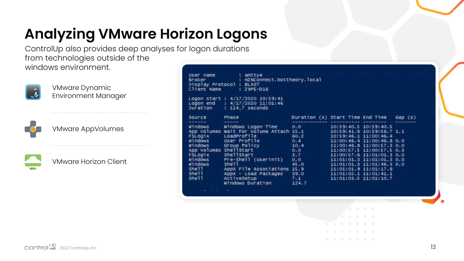## **Analyzing VMware Horizon Logons**

ControlUp also provides deep analyses for logon durations from technologies outside of the windows environment.



VMware Dynamic Environment Manager

VMware AppVolumes



VMware Horizon Client

| Client Name                                                                                                                                                                | Display Protocol : BLAST<br>$: Z9PE-D16$                                                                                                                                                                                                              | : HZNConnect.bottheory.local                                                                 |                                                                                                                                                                                                                                                                                                                                      |        |
|----------------------------------------------------------------------------------------------------------------------------------------------------------------------------|-------------------------------------------------------------------------------------------------------------------------------------------------------------------------------------------------------------------------------------------------------|----------------------------------------------------------------------------------------------|--------------------------------------------------------------------------------------------------------------------------------------------------------------------------------------------------------------------------------------------------------------------------------------------------------------------------------------|--------|
| Duration                                                                                                                                                                   | Logon start : 4/17/2020 10:59:41<br>Logon end : 4/17/2020 11:01:46<br>: 124.7 seconds                                                                                                                                                                 |                                                                                              |                                                                                                                                                                                                                                                                                                                                      |        |
| Source                                                                                                                                                                     | Phase                                                                                                                                                                                                                                                 | Duration (s) Start Time End Time                                                             |                                                                                                                                                                                                                                                                                                                                      | Gap(5) |
| Windows<br><b>FSLOGIX</b><br>Windows <b>Windows</b><br>windows<br>App Volumes ShellStart<br><b>FSLOO1X</b><br>Windows<br>Windows<br>Shell <sup>1</sup><br>shell -<br>She11 | Windows Logon Time<br>App Volumes Wait For Volume Attach 15.1<br>LoadProfile<br>User Profile<br>Group Policy<br>ShellStart<br>Pre-Shell (Userinit)<br>she11<br>AppX File Associations 15.9<br>AppX - Load Packages<br>ActiveSetup<br>Windows Duration | 0.0<br>60.2<br>0.4<br>10.4<br>0.0<br>3.7 <sup>2</sup><br>C.0<br>45.0<br>39.0<br>7.1<br>124.7 | 10:59:40.5 10:59:40.5<br>10:59:41.6 10:59:56.7 1.1<br>10:59:46.1 11:00:46.4<br>11:00:46.4 11:00:46.8 0.0<br>11:00:46.8 11:00:57.3 0.0<br>11:00:57.5 11:00:57.5 0.3<br>11:00:57.6 11:01:01.3 0.0<br>11:01:01.3 11:01:01.3 0.0<br>11:01:01.3 11:01:46.3 0.0<br>11:01:01.9 11:01:17.8<br>11:01:02.1 11:01:41.1<br>11:01:03.5 11:01:10.7 |        |

- - - - - - -